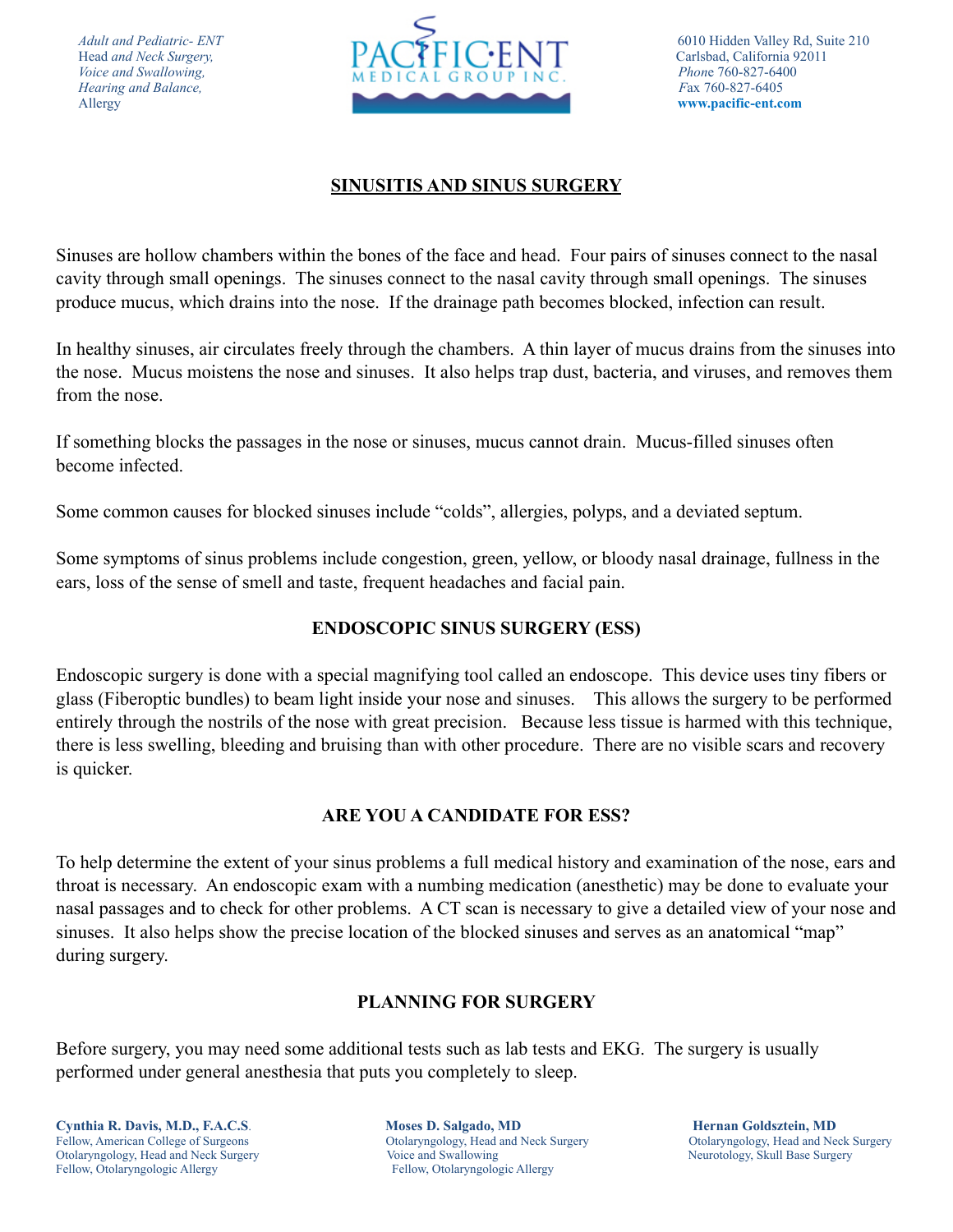*Hearing and Balance,* 



### **SINUSITIS AND SINUS SURGERY**

Sinuses are hollow chambers within the bones of the face and head. Four pairs of sinuses connect to the nasal cavity through small openings. The sinuses connect to the nasal cavity through small openings. The sinuses produce mucus, which drains into the nose. If the drainage path becomes blocked, infection can result.

In healthy sinuses, air circulates freely through the chambers. A thin layer of mucus drains from the sinuses into the nose. Mucus moistens the nose and sinuses. It also helps trap dust, bacteria, and viruses, and removes them from the nose.

If something blocks the passages in the nose or sinuses, mucus cannot drain. Mucus-filled sinuses often become infected.

Some common causes for blocked sinuses include "colds", allergies, polyps, and a deviated septum.

Some symptoms of sinus problems include congestion, green, yellow, or bloody nasal drainage, fullness in the ears, loss of the sense of smell and taste, frequent headaches and facial pain.

# **ENDOSCOPIC SINUS SURGERY (ESS)**

Endoscopic surgery is done with a special magnifying tool called an endoscope. This device uses tiny fibers or glass (Fiberoptic bundles) to beam light inside your nose and sinuses. This allows the surgery to be performed entirely through the nostrils of the nose with great precision. Because less tissue is harmed with this technique, there is less swelling, bleeding and bruising than with other procedure. There are no visible scars and recovery is quicker.

### **ARE YOU A CANDIDATE FOR ESS?**

To help determine the extent of your sinus problems a full medical history and examination of the nose, ears and throat is necessary. An endoscopic exam with a numbing medication (anesthetic) may be done to evaluate your nasal passages and to check for other problems. A CT scan is necessary to give a detailed view of your nose and sinuses. It also helps show the precise location of the blocked sinuses and serves as an anatomical "map" during surgery.

### **PLANNING FOR SURGERY**

Before surgery, you may need some additional tests such as lab tests and EKG. The surgery is usually performed under general anesthesia that puts you completely to sleep.

Fellow, American College of Surgeons Otolaryngology, Head and Neck Surgery Otolaryngology, Head and Neck Surgery Otolaryngology, Head and Neck Surgery Voice and Swallowing Neurotology, Skull Base Surgery Neurotology, Skull Base Surgery Fellow, Otolaryngologic Allergy Fellow, Otolaryngologic Allergy

**Cynthia R. Davis, M.D., F.A.C.S. Moses D. Salgado, MD Hernan Goldsztein, MD Hernan Goldsztein, MD**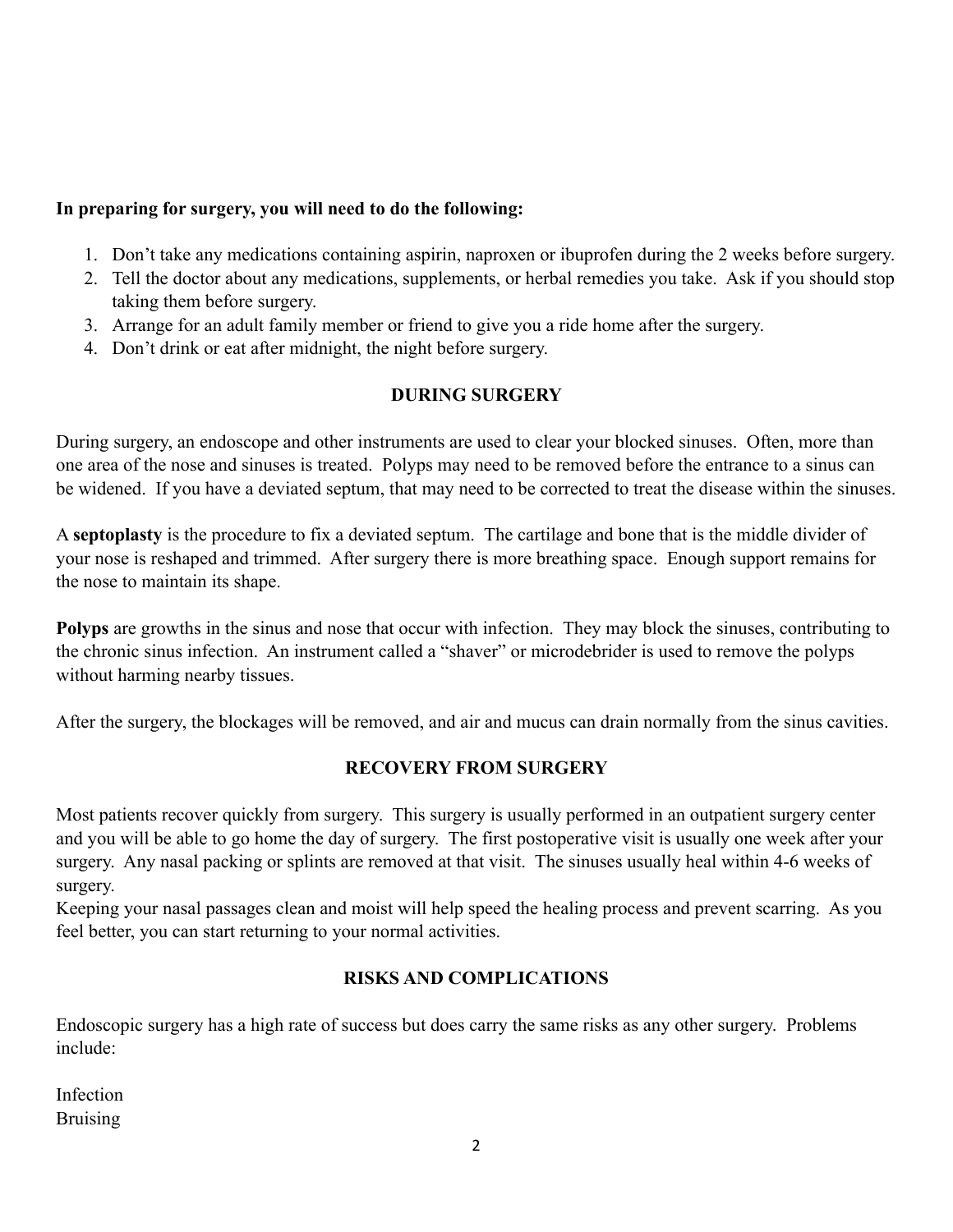## **In preparing for surgery, you will need to do the following:**

- 1. Don't take any medications containing aspirin, naproxen or ibuprofen during the 2 weeks before surgery.
- 2. Tell the doctor about any medications, supplements, or herbal remedies you take. Ask if you should stop taking them before surgery.
- 3. Arrange for an adult family member or friend to give you a ride home after the surgery.
- 4. Don't drink or eat after midnight, the night before surgery.

### **DURING SURGERY**

During surgery, an endoscope and other instruments are used to clear your blocked sinuses. Often, more than one area of the nose and sinuses is treated. Polyps may need to be removed before the entrance to a sinus can be widened. If you have a deviated septum, that may need to be corrected to treat the disease within the sinuses.

A **septoplasty** is the procedure to fix a deviated septum. The cartilage and bone that is the middle divider of your nose is reshaped and trimmed. After surgery there is more breathing space. Enough support remains for the nose to maintain its shape.

**Polyps** are growths in the sinus and nose that occur with infection. They may block the sinuses, contributing to the chronic sinus infection. An instrument called a "shaver" or microdebrider is used to remove the polyps without harming nearby tissues.

After the surgery, the blockages will be removed, and air and mucus can drain normally from the sinus cavities.

### **RECOVERY FROM SURGERY**

Most patients recover quickly from surgery. This surgery is usually performed in an outpatient surgery center and you will be able to go home the day of surgery. The first postoperative visit is usually one week after your surgery. Any nasal packing or splints are removed at that visit. The sinuses usually heal within 4-6 weeks of surgery.

Keeping your nasal passages clean and moist will help speed the healing process and prevent scarring. As you feel better, you can start returning to your normal activities.

### **RISKS AND COMPLICATIONS**

Endoscopic surgery has a high rate of success but does carry the same risks as any other surgery. Problems include:

Infection Bruising